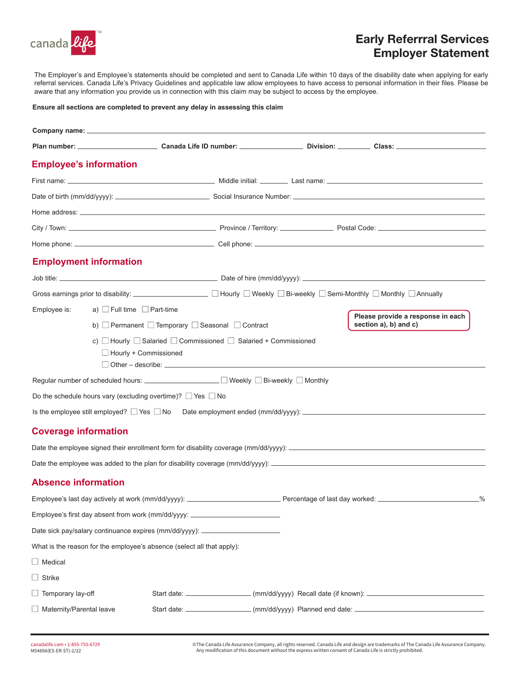

## Early Referrral Services Employer Statement

The Employer's and Employee's statements should be completed and sent to Canada Life within 10 days of the disability date when applying for early referral services. Canada Life's Privacy Guidelines and applicable law allow employees to have access to personal information in their files. Please be aware that any information you provide us in connection with this claim may be subject to access by the employee.

#### **Ensure all sections are completed to prevent any delay in assessing this claim**

|                             | <b>Employee's information</b>                                                                                |                                                                                  |                                                                                      |  |                                                                                                                                         |  |  |
|-----------------------------|--------------------------------------------------------------------------------------------------------------|----------------------------------------------------------------------------------|--------------------------------------------------------------------------------------|--|-----------------------------------------------------------------------------------------------------------------------------------------|--|--|
|                             |                                                                                                              |                                                                                  |                                                                                      |  |                                                                                                                                         |  |  |
|                             |                                                                                                              |                                                                                  |                                                                                      |  |                                                                                                                                         |  |  |
|                             |                                                                                                              |                                                                                  |                                                                                      |  |                                                                                                                                         |  |  |
|                             |                                                                                                              |                                                                                  |                                                                                      |  |                                                                                                                                         |  |  |
|                             |                                                                                                              |                                                                                  |                                                                                      |  |                                                                                                                                         |  |  |
|                             | <b>Employment information</b>                                                                                |                                                                                  |                                                                                      |  |                                                                                                                                         |  |  |
|                             |                                                                                                              |                                                                                  |                                                                                      |  |                                                                                                                                         |  |  |
|                             |                                                                                                              |                                                                                  |                                                                                      |  | Gross earnings prior to disability:<br>□ Hourly □ Weekly □ Bi-weekly □ Semi-Monthly □ Monthly □ Annually                                |  |  |
| Employee is:                |                                                                                                              | a) $\Box$ Full time $\Box$ Part-time                                             |                                                                                      |  |                                                                                                                                         |  |  |
|                             | Please provide a response in each<br>section a), b) and c)<br>b) Permanent I Temporary I Seasonal I Contract |                                                                                  |                                                                                      |  |                                                                                                                                         |  |  |
|                             | $\Box$ Hourly + Commissioned                                                                                 |                                                                                  | c) $\Box$ Hourly $\Box$ Salaried $\Box$ Commissioned $\Box$ Salaried + Commissioned  |  |                                                                                                                                         |  |  |
|                             |                                                                                                              |                                                                                  | Regular number of scheduled hours: __________________ □ Weekly □ Bi-weekly □ Monthly |  |                                                                                                                                         |  |  |
|                             |                                                                                                              | Do the schedule hours vary (excluding overtime)? $\Box$ Yes $\Box$ No            |                                                                                      |  |                                                                                                                                         |  |  |
|                             |                                                                                                              |                                                                                  |                                                                                      |  | Is the employee still employed? $\Box$ Yes $\Box$ No Date employment ended (mm/dd/yyyy): $\Box$                                         |  |  |
| <b>Coverage information</b> |                                                                                                              |                                                                                  |                                                                                      |  |                                                                                                                                         |  |  |
|                             |                                                                                                              |                                                                                  |                                                                                      |  |                                                                                                                                         |  |  |
|                             |                                                                                                              |                                                                                  |                                                                                      |  |                                                                                                                                         |  |  |
| <b>Absence information</b>  |                                                                                                              |                                                                                  |                                                                                      |  |                                                                                                                                         |  |  |
|                             |                                                                                                              |                                                                                  |                                                                                      |  | Employee's last day actively at work (mm/dd/yyyy): _______________________________Percentage of last day worked: _____________________% |  |  |
|                             |                                                                                                              | Employee's first day absent from work (mm/dd/yyyy: _____________________________ |                                                                                      |  |                                                                                                                                         |  |  |
|                             |                                                                                                              | Date sick pay/salary continuance expires (mm/dd/yyyy): _________________________ |                                                                                      |  |                                                                                                                                         |  |  |
|                             |                                                                                                              | What is the reason for the employee's absence (select all that apply):           |                                                                                      |  |                                                                                                                                         |  |  |
| $\Box$ Medical              |                                                                                                              |                                                                                  |                                                                                      |  |                                                                                                                                         |  |  |
| $\Box$ Strike               |                                                                                                              |                                                                                  |                                                                                      |  |                                                                                                                                         |  |  |
| $\Box$ Temporary lay-off    |                                                                                                              |                                                                                  |                                                                                      |  | Start date: ____________________(mm/dd/yyyy) Recall date (if known): ______________________________                                     |  |  |
| Maternity/Parental leave    |                                                                                                              |                                                                                  |                                                                                      |  | Start date: ________________________ (mm/dd/yyyy) Planned end date: ____________                                                        |  |  |

©The Canada Life Assurance Company, all rights reserved. Canada Life and design are trademarks of The Canada Life Assurance Company.<br>Any modification of this document without the express written consent of Canada Life is s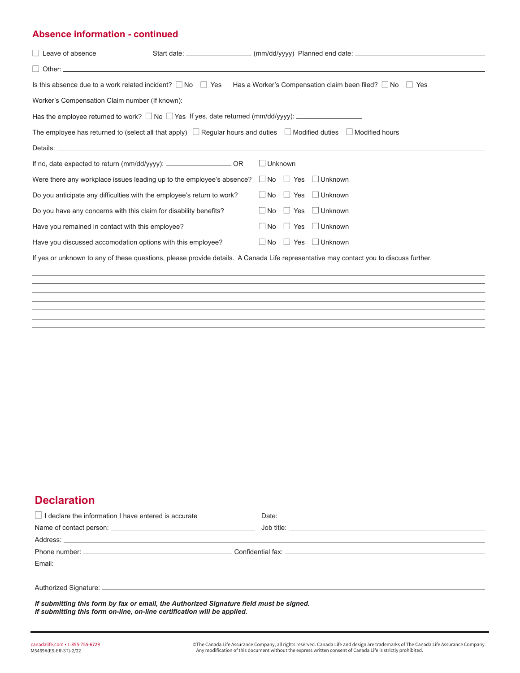#### **Absence information - continued**

| $\Box$ Leave of absence                                                                                                           |                                     |                                                                                                                                         |
|-----------------------------------------------------------------------------------------------------------------------------------|-------------------------------------|-----------------------------------------------------------------------------------------------------------------------------------------|
|                                                                                                                                   |                                     |                                                                                                                                         |
|                                                                                                                                   |                                     | Is this absence due to a work related incident? $\Box$ No $\Box$ Yes Has a Worker's Compensation claim been filed? $\Box$ No $\Box$ Yes |
|                                                                                                                                   |                                     |                                                                                                                                         |
|                                                                                                                                   |                                     |                                                                                                                                         |
| The employee has returned to (select all that apply) $\Box$ Regular hours and duties $\Box$ Modified duties $\Box$ Modified hours |                                     |                                                                                                                                         |
|                                                                                                                                   |                                     |                                                                                                                                         |
| If no, date expected to return (mm/dd/yyyy): __________________________OR                                                         | $\Box$ Unknown                      |                                                                                                                                         |
| Were there any workplace issues leading up to the employee's absence?                                                             | No Yes Unknown                      |                                                                                                                                         |
| Do you anticipate any difficulties with the employee's return to work?                                                            | $\Box$ No $\Box$ Yes $\Box$ Unknown |                                                                                                                                         |
| Do you have any concerns with this claim for disability benefits?                                                                 | $\Box$ No $\Box$ Yes $\Box$ Unknown |                                                                                                                                         |
| Have you remained in contact with this employee?                                                                                  | $\Box$ No $\Box$ Yes $\Box$ Unknown |                                                                                                                                         |
| Have you discussed accomodation options with this employee?                                                                       | $\Box$ No $\Box$ Yes $\Box$ Unknown |                                                                                                                                         |
|                                                                                                                                   |                                     | If yes or unknown to any of these questions, please provide details. A Canada Life representative may contact you to discuss further.   |
|                                                                                                                                   |                                     |                                                                                                                                         |
|                                                                                                                                   |                                     |                                                                                                                                         |

## **Declaration**

| $\Box$ I declare the information I have entered is accurate |  |
|-------------------------------------------------------------|--|
|                                                             |  |
|                                                             |  |
|                                                             |  |
|                                                             |  |
|                                                             |  |
|                                                             |  |

*If submitting this form by fax or email, the Authorized Signature field must be signed. If submitting this form on-line, on-line certification will be applied.*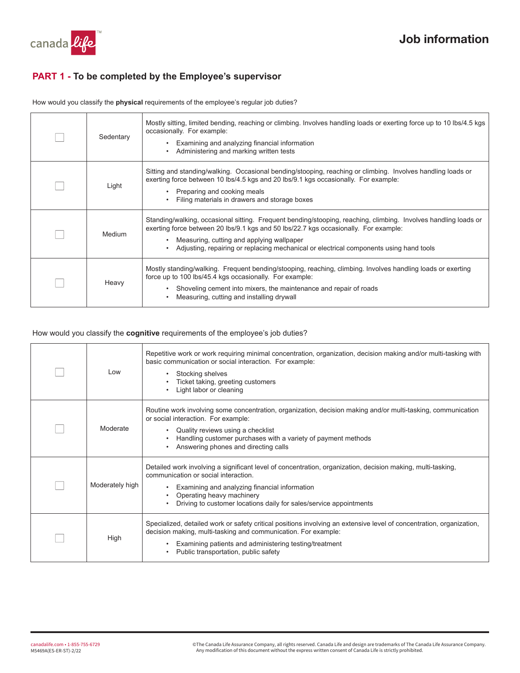

### **PART 1 - To be completed by the Employee's supervisor**

How would you classify the **physical** requirements of the employee's regular job duties?

| Sedentary | Mostly sitting, limited bending, reaching or climbing. Involves handling loads or exerting force up to 10 lbs/4.5 kgs<br>occasionally. For example:<br>Examining and analyzing financial information<br>Administering and marking written tests                                                                                                |
|-----------|------------------------------------------------------------------------------------------------------------------------------------------------------------------------------------------------------------------------------------------------------------------------------------------------------------------------------------------------|
| Light     | Sitting and standing/walking. Occasional bending/stooping, reaching or climbing. Involves handling loads or<br>exerting force between 10 lbs/4.5 kgs and 20 lbs/9.1 kgs occasionally. For example:<br>Preparing and cooking meals<br>Filing materials in drawers and storage boxes                                                             |
| Medium    | Standing/walking, occasional sitting. Frequent bending/stooping, reaching, climbing. Involves handling loads or<br>exerting force between 20 lbs/9.1 kgs and 50 lbs/22.7 kgs occasionally. For example:<br>Measuring, cutting and applying wallpaper<br>Adjusting, repairing or replacing mechanical or electrical components using hand tools |
| Heavy     | Mostly standing/walking. Frequent bending/stooping, reaching, climbing. Involves handling loads or exerting<br>force up to 100 lbs/45.4 kgs occasionally. For example:<br>Shoveling cement into mixers, the maintenance and repair of roads<br>Measuring, cutting and installing drywall                                                       |

#### How would you classify the **cognitive** requirements of the employee's job duties?

| Low             | Repetitive work or work requiring minimal concentration, organization, decision making and/or multi-tasking with<br>basic communication or social interaction. For example:<br>Stocking shelves<br>Ticket taking, greeting customers<br>Light labor or cleaning                                        |
|-----------------|--------------------------------------------------------------------------------------------------------------------------------------------------------------------------------------------------------------------------------------------------------------------------------------------------------|
| Moderate        | Routine work involving some concentration, organization, decision making and/or multi-tasking, communication<br>or social interaction. For example:<br>Quality reviews using a checklist<br>Handling customer purchases with a variety of payment methods<br>Answering phones and directing calls      |
| Moderately high | Detailed work involving a significant level of concentration, organization, decision making, multi-tasking,<br>communication or social interaction<br>Examining and analyzing financial information<br>Operating heavy machinery<br>Driving to customer locations daily for sales/service appointments |
| High            | Specialized, detailed work or safety critical positions involving an extensive level of concentration, organization,<br>decision making, multi-tasking and communication. For example:<br>Examining patients and administering testing/treatment<br>Public transportation, public safety               |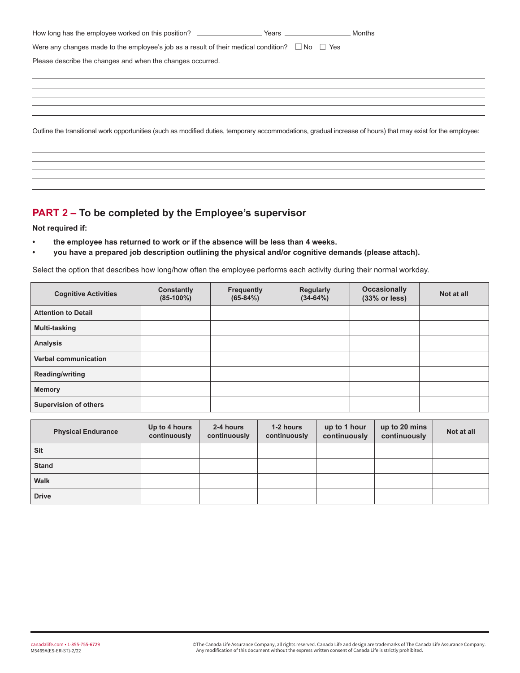| Were any changes made to the employee's job as a result of their medical condition? $\Box$ No $\Box$ Yes                                                    |  |
|-------------------------------------------------------------------------------------------------------------------------------------------------------------|--|
| Please describe the changes and when the changes occurred.                                                                                                  |  |
|                                                                                                                                                             |  |
|                                                                                                                                                             |  |
|                                                                                                                                                             |  |
| Outline the transitional work opportunities (such as modified duties, temporary accommodations, gradual increase of hours) that may exist for the employee: |  |
|                                                                                                                                                             |  |

## **PART 2 – To be completed by the Employee's supervisor**

**Not required if:** 

- **the employee has returned to work or if the absence will be less than 4 weeks.**
- **you have a prepared job description outlining the physical and/or cognitive demands (please attach).**

Select the option that describes how long/how often the employee performs each activity during their normal workday.

| <b>Cognitive Activities</b>  | Constantly<br>$(85-100\%)$ | <b>Frequently</b><br>$(65-84%)$ | <b>Regularly</b><br>$(34-64%)$ | <b>Occasionally</b><br>(33% or less) | Not at all |
|------------------------------|----------------------------|---------------------------------|--------------------------------|--------------------------------------|------------|
| <b>Attention to Detail</b>   |                            |                                 |                                |                                      |            |
| Multi-tasking                |                            |                                 |                                |                                      |            |
| <b>Analysis</b>              |                            |                                 |                                |                                      |            |
| Verbal communication         |                            |                                 |                                |                                      |            |
| Reading/writing              |                            |                                 |                                |                                      |            |
| <b>Memory</b>                |                            |                                 |                                |                                      |            |
| <b>Supervision of others</b> |                            |                                 |                                |                                      |            |

| <b>Physical Endurance</b> | Up to 4 hours<br>continuously | 2-4 hours<br>continuously | 1-2 hours<br>continuously | up to 1 hour<br>continuously | up to 20 mins<br>continuously | Not at all |
|---------------------------|-------------------------------|---------------------------|---------------------------|------------------------------|-------------------------------|------------|
| Sit                       |                               |                           |                           |                              |                               |            |
| <b>Stand</b>              |                               |                           |                           |                              |                               |            |
| <b>Walk</b>               |                               |                           |                           |                              |                               |            |
| <b>Drive</b>              |                               |                           |                           |                              |                               |            |